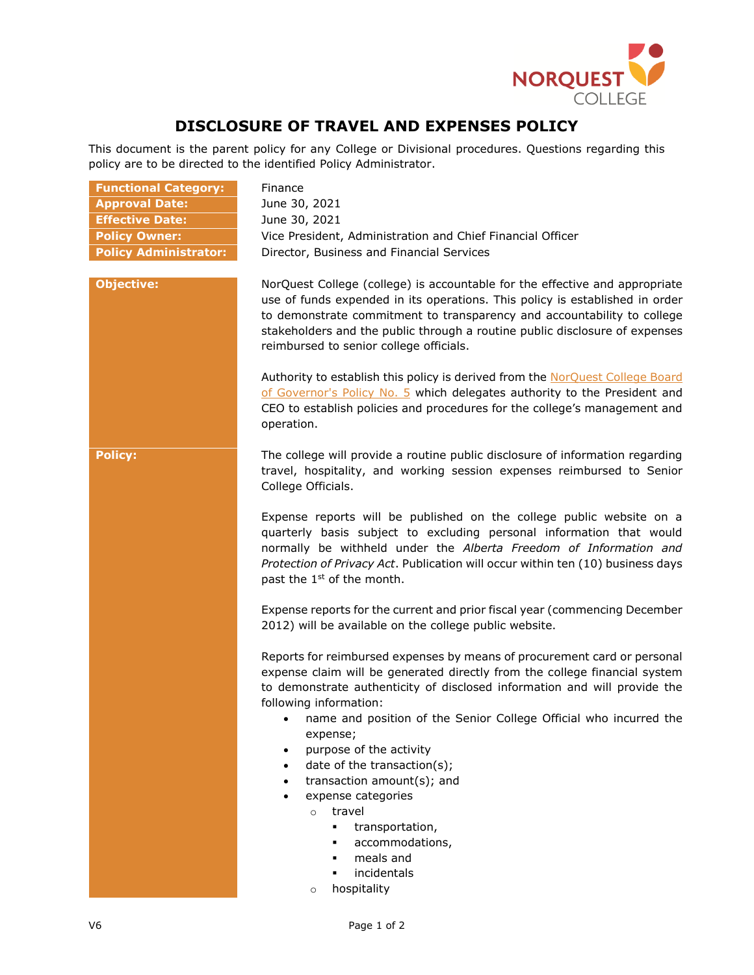

## **DISCLOSURE OF TRAVEL AND EXPENSES POLICY**

This document is the parent policy for any College or Divisional procedures. Questions regarding this policy are to be directed to the identified Policy Administrator.

| <b>Functional Category:</b>  | Finance                                                                                                                                                                                                                                                                                                                                                          |
|------------------------------|------------------------------------------------------------------------------------------------------------------------------------------------------------------------------------------------------------------------------------------------------------------------------------------------------------------------------------------------------------------|
| <b>Approval Date:</b>        | June 30, 2021                                                                                                                                                                                                                                                                                                                                                    |
| <b>Effective Date:</b>       | June 30, 2021                                                                                                                                                                                                                                                                                                                                                    |
| <b>Policy Owner:</b>         | Vice President, Administration and Chief Financial Officer                                                                                                                                                                                                                                                                                                       |
| <b>Policy Administrator:</b> | Director, Business and Financial Services                                                                                                                                                                                                                                                                                                                        |
|                              |                                                                                                                                                                                                                                                                                                                                                                  |
| <b>Objective:</b>            | NorQuest College (college) is accountable for the effective and appropriate<br>use of funds expended in its operations. This policy is established in order<br>to demonstrate commitment to transparency and accountability to college<br>stakeholders and the public through a routine public disclosure of expenses<br>reimbursed to senior college officials. |
|                              | Authority to establish this policy is derived from the NorQuest College Board<br>of Governor's Policy No. 5 which delegates authority to the President and<br>CEO to establish policies and procedures for the college's management and<br>operation.                                                                                                            |
| <b>Policy:</b>               | The college will provide a routine public disclosure of information regarding<br>travel, hospitality, and working session expenses reimbursed to Senior<br>College Officials.                                                                                                                                                                                    |
|                              | Expense reports will be published on the college public website on a<br>quarterly basis subject to excluding personal information that would<br>normally be withheld under the Alberta Freedom of Information and<br>Protection of Privacy Act. Publication will occur within ten (10) business days<br>past the 1 <sup>st</sup> of the month.                   |
|                              | Expense reports for the current and prior fiscal year (commencing December<br>2012) will be available on the college public website.                                                                                                                                                                                                                             |
|                              | Reports for reimbursed expenses by means of procurement card or personal<br>expense claim will be generated directly from the college financial system<br>to demonstrate authenticity of disclosed information and will provide the<br>following information:                                                                                                    |
|                              | name and position of the Senior College Official who incurred the<br>expense;<br>purpose of the activity<br>date of the transaction(s);<br>transaction amount(s); and<br>expense categories<br>travel<br>$\circ$<br>transportation,<br>$\blacksquare$<br>accommodations,<br>meals and<br>incidentals                                                             |
|                              | hospitality<br>$\circ$                                                                                                                                                                                                                                                                                                                                           |